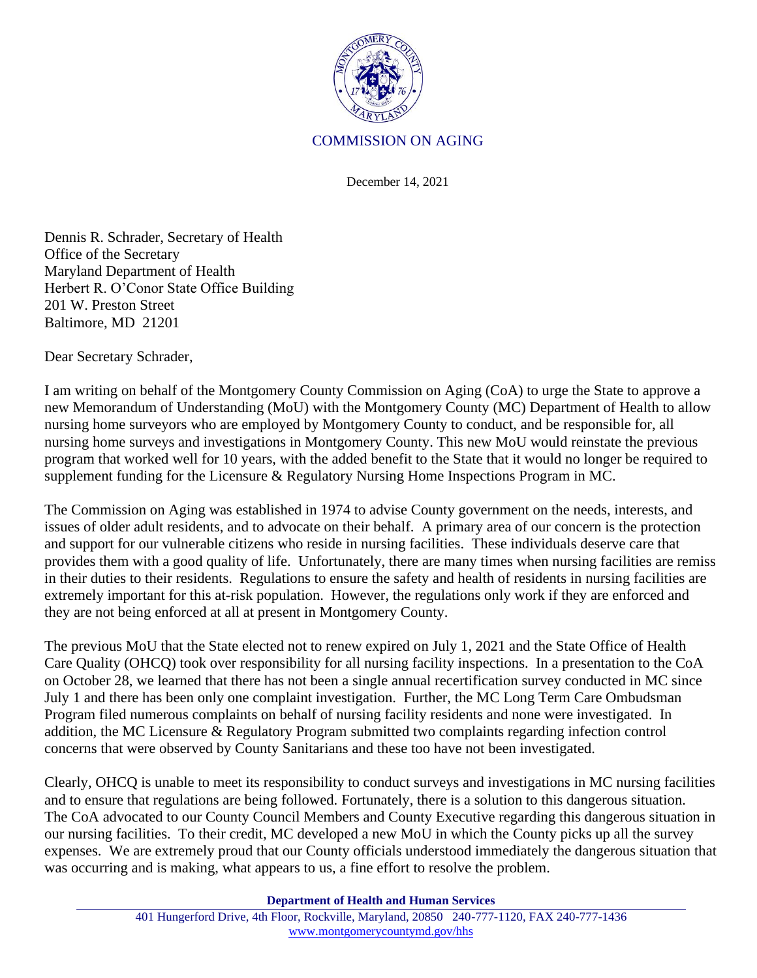

## COMMISSION ON AGING

December 14, 2021

Dennis R. Schrader, Secretary of Health Office of the Secretary Maryland Department of Health Herbert R. O'Conor State Office Building 201 W. Preston Street Baltimore, MD 21201

Dear Secretary Schrader,

I am writing on behalf of the Montgomery County Commission on Aging (CoA) to urge the State to approve a new Memorandum of Understanding (MoU) with the Montgomery County (MC) Department of Health to allow nursing home surveyors who are employed by Montgomery County to conduct, and be responsible for, all nursing home surveys and investigations in Montgomery County. This new MoU would reinstate the previous program that worked well for 10 years, with the added benefit to the State that it would no longer be required to supplement funding for the Licensure & Regulatory Nursing Home Inspections Program in MC.

The Commission on Aging was established in 1974 to advise County government on the needs, interests, and issues of older adult residents, and to advocate on their behalf. A primary area of our concern is the protection and support for our vulnerable citizens who reside in nursing facilities. These individuals deserve care that provides them with a good quality of life. Unfortunately, there are many times when nursing facilities are remiss in their duties to their residents. Regulations to ensure the safety and health of residents in nursing facilities are extremely important for this at-risk population. However, the regulations only work if they are enforced and they are not being enforced at all at present in Montgomery County.

The previous MoU that the State elected not to renew expired on July 1, 2021 and the State Office of Health Care Quality (OHCQ) took over responsibility for all nursing facility inspections. In a presentation to the CoA on October 28, we learned that there has not been a single annual recertification survey conducted in MC since July 1 and there has been only one complaint investigation. Further, the MC Long Term Care Ombudsman Program filed numerous complaints on behalf of nursing facility residents and none were investigated. In addition, the MC Licensure & Regulatory Program submitted two complaints regarding infection control concerns that were observed by County Sanitarians and these too have not been investigated.

Clearly, OHCQ is unable to meet its responsibility to conduct surveys and investigations in MC nursing facilities and to ensure that regulations are being followed. Fortunately, there is a solution to this dangerous situation. The CoA advocated to our County Council Members and County Executive regarding this dangerous situation in our nursing facilities. To their credit, MC developed a new MoU in which the County picks up all the survey expenses. We are extremely proud that our County officials understood immediately the dangerous situation that was occurring and is making, what appears to us, a fine effort to resolve the problem.

**Department of Health and Human Services**